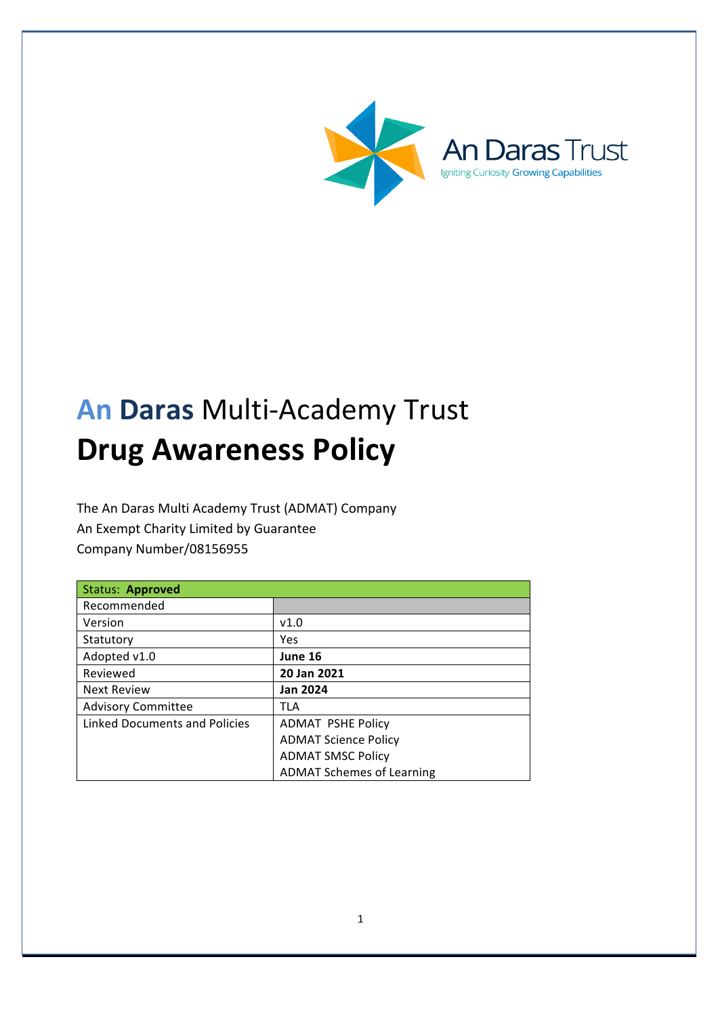

# **An Daras** Multi-Academy Trust **Drug Awareness Policy**

The An Daras Multi Academy Trust (ADMAT) Company An Exempt Charity Limited by Guarantee Company Number/08156955

| Status: Approved              |                                  |
|-------------------------------|----------------------------------|
| Recommended                   |                                  |
| Version                       | v1.0                             |
| Statutory                     | Yes                              |
| Adopted v1.0                  | June 16                          |
| Reviewed                      | 20 Jan 2021                      |
| <b>Next Review</b>            | <b>Jan 2024</b>                  |
| <b>Advisory Committee</b>     | TLA                              |
| Linked Documents and Policies | <b>ADMAT PSHE Policy</b>         |
|                               | <b>ADMAT Science Policy</b>      |
|                               | <b>ADMAT SMSC Policy</b>         |
|                               | <b>ADMAT Schemes of Learning</b> |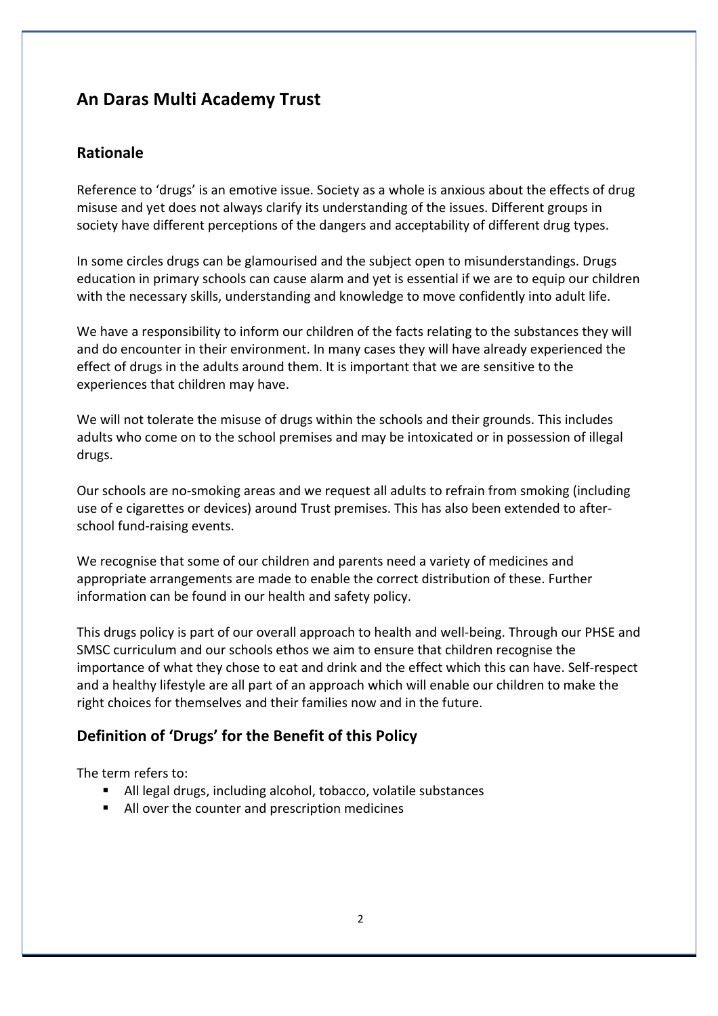# **An Daras Multi Academy Trust**

### **Rationale**

Reference to 'drugs' is an emotive issue. Society as a whole is anxious about the effects of drug misuse and yet does not always clarify its understanding of the issues. Different groups in society have different perceptions of the dangers and acceptability of different drug types.

In some circles drugs can be glamourised and the subject open to misunderstandings. Drugs education in primary schools can cause alarm and yet is essential if we are to equip our children with the necessary skills, understanding and knowledge to move confidently into adult life.

We have a responsibility to inform our children of the facts relating to the substances they will and do encounter in their environment. In many cases they will have already experienced the effect of drugs in the adults around them. It is important that we are sensitive to the experiences that children may have.

We will not tolerate the misuse of drugs within the schools and their grounds. This includes adults who come on to the school premises and may be intoxicated or in possession of illegal drugs. 

Our schools are no-smoking areas and we request all adults to refrain from smoking (including use of e cigarettes or devices) around Trust premises. This has also been extended to afterschool fund-raising events.

We recognise that some of our children and parents need a variety of medicines and appropriate arrangements are made to enable the correct distribution of these. Further information can be found in our health and safety policy.

This drugs policy is part of our overall approach to health and well-being. Through our PHSE and SMSC curriculum and our schools ethos we aim to ensure that children recognise the importance of what they chose to eat and drink and the effect which this can have. Self-respect and a healthy lifestyle are all part of an approach which will enable our children to make the right choices for themselves and their families now and in the future.

# Definition of 'Drugs' for the Benefit of this Policy

The term refers to:

- All legal drugs, including alcohol, tobacco, volatile substances
- All over the counter and prescription medicines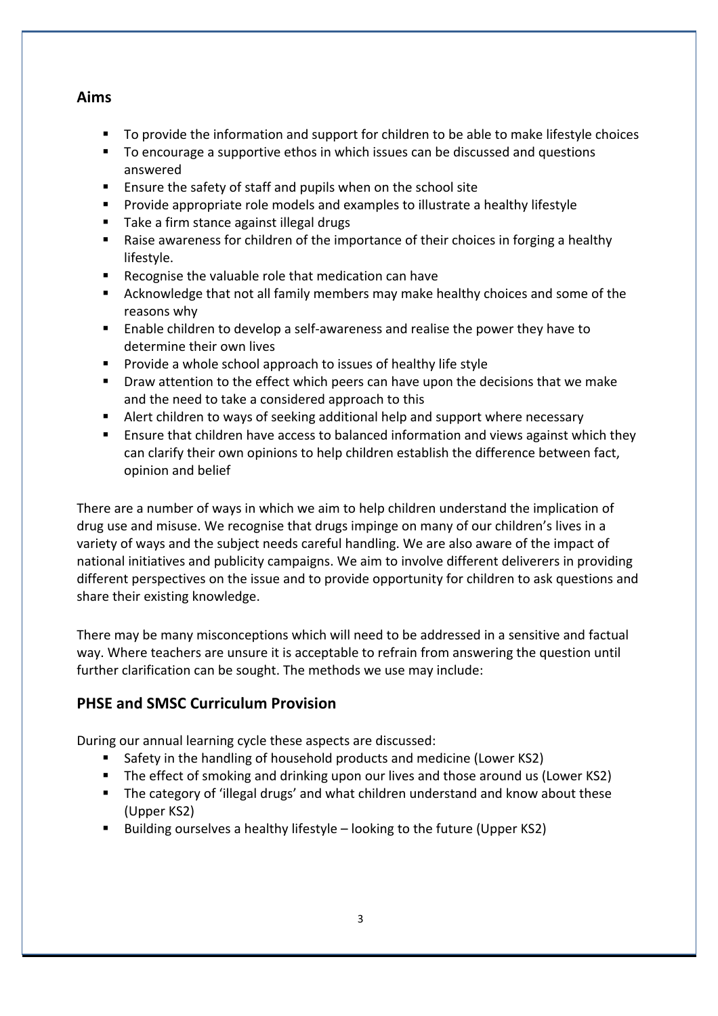#### **Aims**

- To provide the information and support for children to be able to make lifestyle choices
- To encourage a supportive ethos in which issues can be discussed and questions answered
- Ensure the safety of staff and pupils when on the school site
- **•** Provide appropriate role models and examples to illustrate a healthy lifestyle
- Take a firm stance against illegal drugs
- Raise awareness for children of the importance of their choices in forging a healthy lifestyle.
- Recognise the valuable role that medication can have
- Acknowledge that not all family members may make healthy choices and some of the reasons why
- Enable children to develop a self-awareness and realise the power they have to determine their own lives
- Provide a whole school approach to issues of healthy life style
- Draw attention to the effect which peers can have upon the decisions that we make and the need to take a considered approach to this
- E Alert children to ways of seeking additional help and support where necessary
- **E** Ensure that children have access to balanced information and views against which they can clarify their own opinions to help children establish the difference between fact, opinion and belief

There are a number of ways in which we aim to help children understand the implication of drug use and misuse. We recognise that drugs impinge on many of our children's lives in a variety of ways and the subject needs careful handling. We are also aware of the impact of national initiatives and publicity campaigns. We aim to involve different deliverers in providing different perspectives on the issue and to provide opportunity for children to ask questions and share their existing knowledge.

There may be many misconceptions which will need to be addressed in a sensitive and factual way. Where teachers are unsure it is acceptable to refrain from answering the question until further clarification can be sought. The methods we use may include:

#### **PHSE and SMSC Curriculum Provision**

During our annual learning cycle these aspects are discussed:

- Safety in the handling of household products and medicine (Lower KS2)
- The effect of smoking and drinking upon our lives and those around us (Lower KS2)
- The category of 'illegal drugs' and what children understand and know about these (Upper KS2)
- Building ourselves a healthy lifestyle looking to the future (Upper KS2)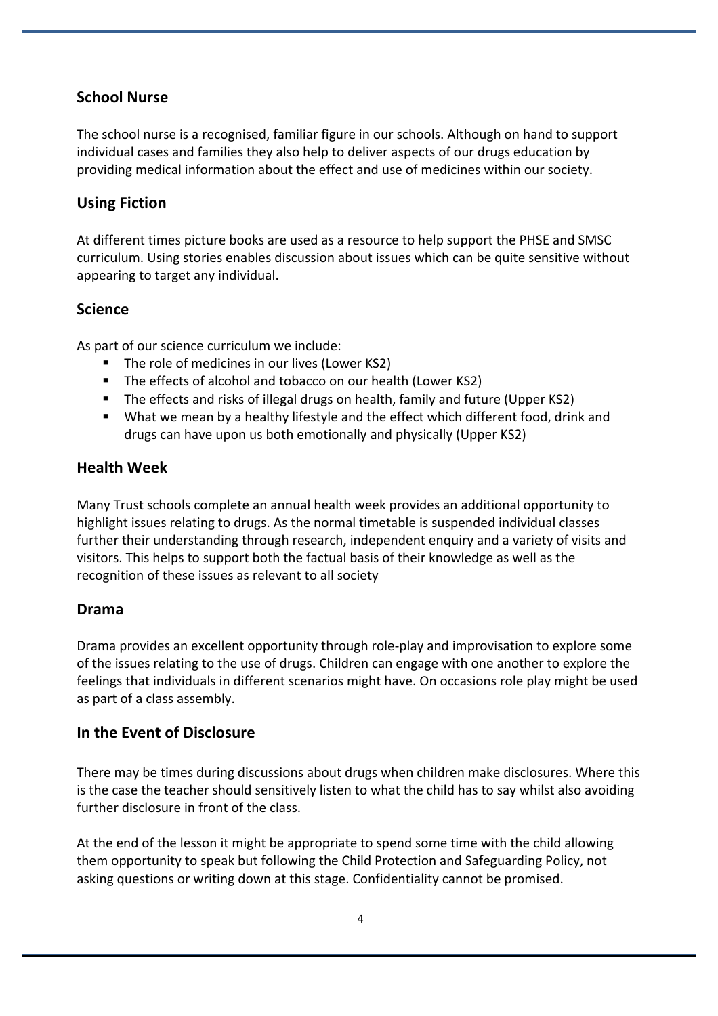# **School Nurse**

The school nurse is a recognised, familiar figure in our schools. Although on hand to support individual cases and families they also help to deliver aspects of our drugs education by providing medical information about the effect and use of medicines within our society.

# **Using Fiction**

At different times picture books are used as a resource to help support the PHSE and SMSC curriculum. Using stories enables discussion about issues which can be quite sensitive without appearing to target any individual.

# **Science**

As part of our science curriculum we include:

- The role of medicines in our lives (Lower KS2)
- The effects of alcohol and tobacco on our health (Lower KS2)
- The effects and risks of illegal drugs on health, family and future (Upper KS2)
- What we mean by a healthy lifestyle and the effect which different food, drink and drugs can have upon us both emotionally and physically (Upper KS2)

#### **Health Week**

Many Trust schools complete an annual health week provides an additional opportunity to highlight issues relating to drugs. As the normal timetable is suspended individual classes further their understanding through research, independent enquiry and a variety of visits and visitors. This helps to support both the factual basis of their knowledge as well as the recognition of these issues as relevant to all society

#### **Drama**

Drama provides an excellent opportunity through role-play and improvisation to explore some of the issues relating to the use of drugs. Children can engage with one another to explore the feelings that individuals in different scenarios might have. On occasions role play might be used as part of a class assembly.

#### **In the Event of Disclosure**

There may be times during discussions about drugs when children make disclosures. Where this is the case the teacher should sensitively listen to what the child has to say whilst also avoiding further disclosure in front of the class.

At the end of the lesson it might be appropriate to spend some time with the child allowing them opportunity to speak but following the Child Protection and Safeguarding Policy, not asking questions or writing down at this stage. Confidentiality cannot be promised.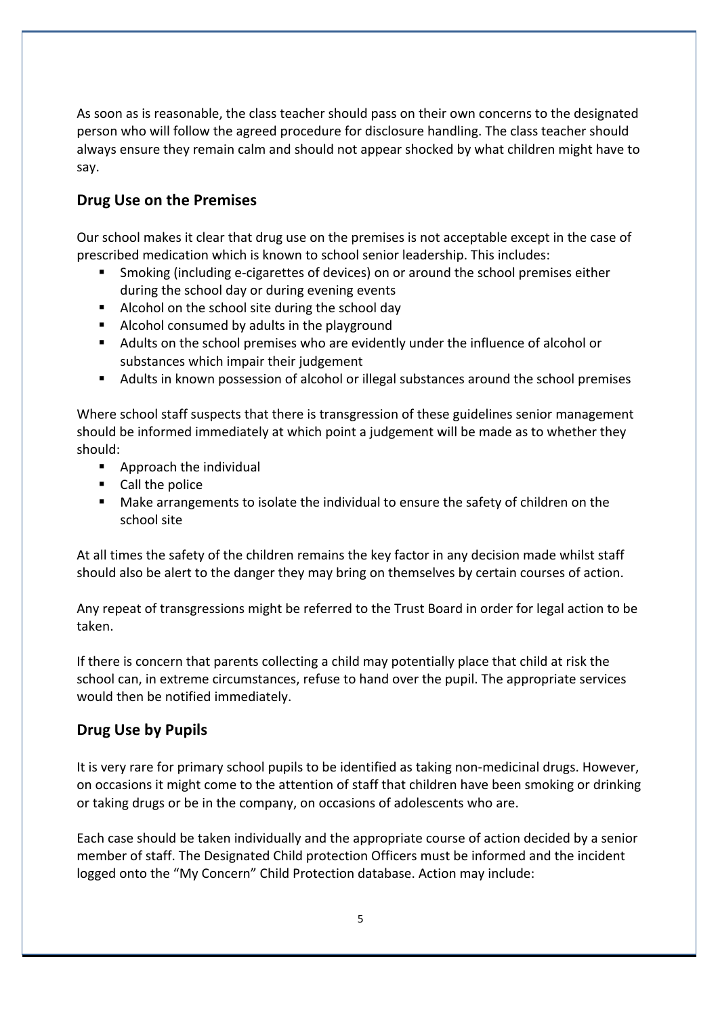As soon as is reasonable, the class teacher should pass on their own concerns to the designated person who will follow the agreed procedure for disclosure handling. The class teacher should always ensure they remain calm and should not appear shocked by what children might have to say.

### **Drug Use on the Premises**

Our school makes it clear that drug use on the premises is not acceptable except in the case of prescribed medication which is known to school senior leadership. This includes:

- Smoking (including e-cigarettes of devices) on or around the school premises either during the school day or during evening events
- Alcohol on the school site during the school day
- Alcohol consumed by adults in the playground
- Adults on the school premises who are evidently under the influence of alcohol or substances which impair their judgement
- Adults in known possession of alcohol or illegal substances around the school premises

Where school staff suspects that there is transgression of these guidelines senior management should be informed immediately at which point a judgement will be made as to whether they should: 

- $\blacksquare$  Approach the individual
- Call the police
- Make arrangements to isolate the individual to ensure the safety of children on the school site

At all times the safety of the children remains the key factor in any decision made whilst staff should also be alert to the danger they may bring on themselves by certain courses of action.

Any repeat of transgressions might be referred to the Trust Board in order for legal action to be taken. 

If there is concern that parents collecting a child may potentially place that child at risk the school can, in extreme circumstances, refuse to hand over the pupil. The appropriate services would then be notified immediately.

#### **Drug Use by Pupils**

It is very rare for primary school pupils to be identified as taking non-medicinal drugs. However, on occasions it might come to the attention of staff that children have been smoking or drinking or taking drugs or be in the company, on occasions of adolescents who are.

Each case should be taken individually and the appropriate course of action decided by a senior member of staff. The Designated Child protection Officers must be informed and the incident logged onto the "My Concern" Child Protection database. Action may include: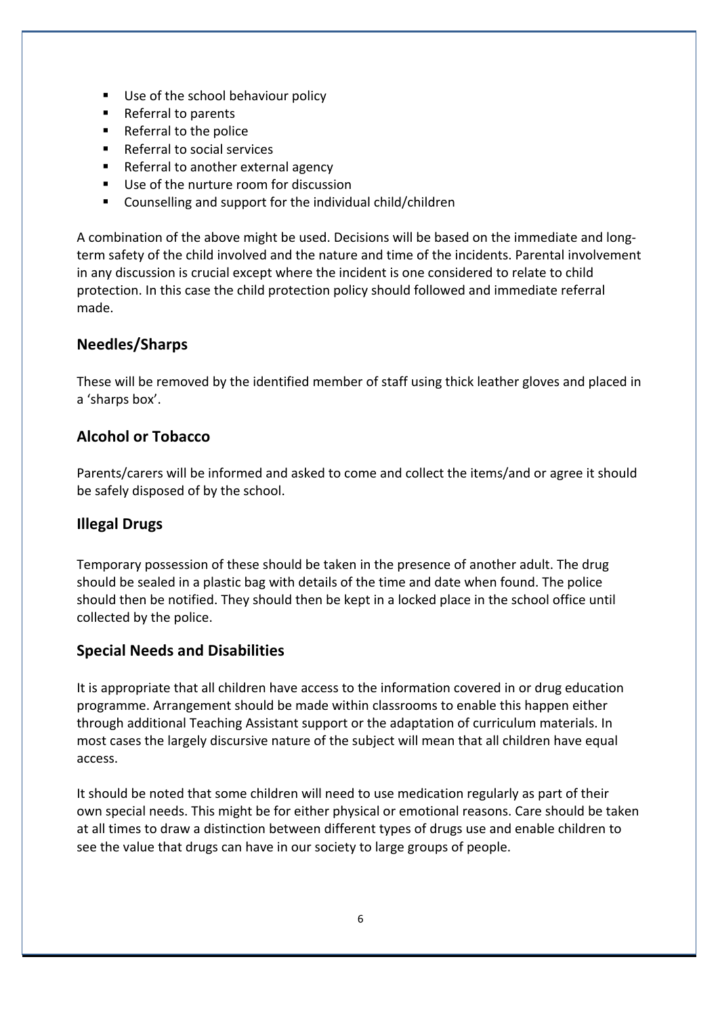- Use of the school behaviour policy
- Referral to parents
- Referral to the police
- Referral to social services
- Referral to another external agency
- Use of the nurture room for discussion
- $\blacksquare$  Counselling and support for the individual child/children

A combination of the above might be used. Decisions will be based on the immediate and longterm safety of the child involved and the nature and time of the incidents. Parental involvement in any discussion is crucial except where the incident is one considered to relate to child protection. In this case the child protection policy should followed and immediate referral made. 

# **Needles/Sharps**

These will be removed by the identified member of staff using thick leather gloves and placed in a 'sharps box'.

# **Alcohol or Tobacco**

Parents/carers will be informed and asked to come and collect the items/and or agree it should be safely disposed of by the school.

# **Illegal Drugs**

Temporary possession of these should be taken in the presence of another adult. The drug should be sealed in a plastic bag with details of the time and date when found. The police should then be notified. They should then be kept in a locked place in the school office until collected by the police.

#### **Special Needs and Disabilities**

It is appropriate that all children have access to the information covered in or drug education programme. Arrangement should be made within classrooms to enable this happen either through additional Teaching Assistant support or the adaptation of curriculum materials. In most cases the largely discursive nature of the subject will mean that all children have equal access. 

It should be noted that some children will need to use medication regularly as part of their own special needs. This might be for either physical or emotional reasons. Care should be taken at all times to draw a distinction between different types of drugs use and enable children to see the value that drugs can have in our society to large groups of people.